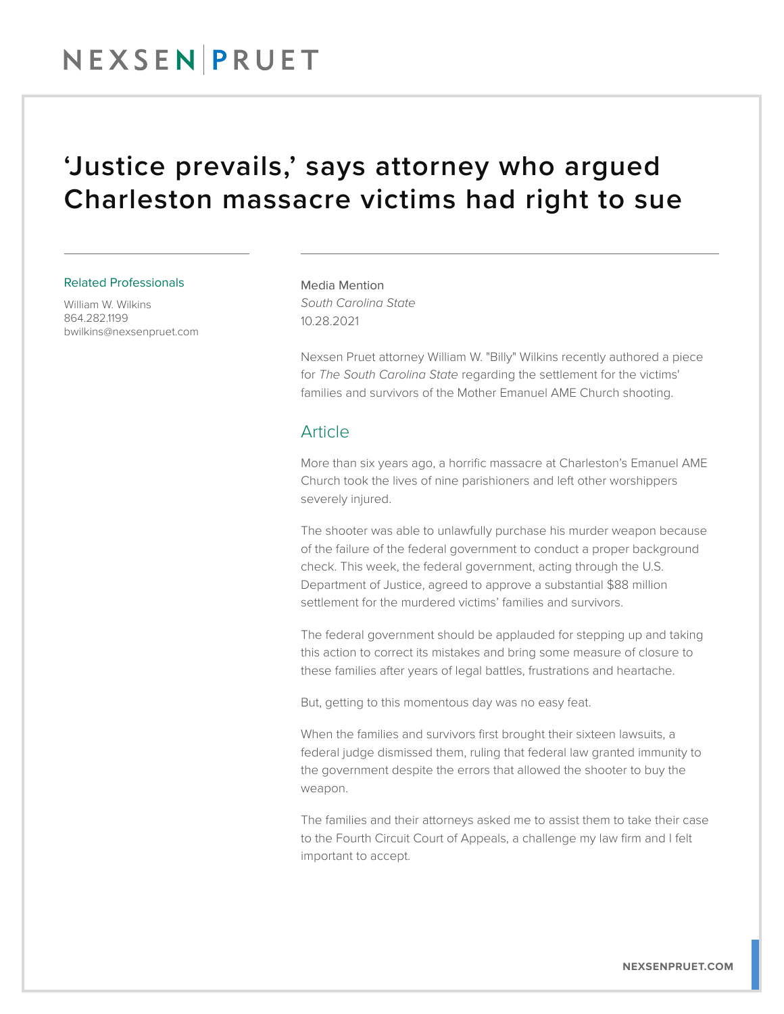## NEXSENPRUET

### 'Justice prevails,' says attorney who argued Charleston massacre victims had right to sue

#### Related Professionals

William W. Wilkins 864.282.1199 bwilkins@nexsenpruet.com Media Mention *South Carolina State* 10.28.2021

Nexsen Pruet attorney William W. "Billy" Wilkins recently authored a piece for *The South Carolina State* regarding the settlement for the victims' families and survivors of the Mother Emanuel AME Church shooting.

### **Article**

More than six years ago, a horrific massacre at Charleston's Emanuel AME Church took the lives of nine parishioners and left other worshippers severely injured.

The shooter was able to unlawfully purchase his murder weapon because of the failure of the federal government to conduct a proper background check. This week, the federal government, acting through the U.S. Department of Justice, agreed to approve a substantial \$88 million settlement for the murdered victims' families and survivors.

The federal government should be applauded for stepping up and taking this action to correct its mistakes and bring some measure of closure to these families after years of legal battles, frustrations and heartache.

But, getting to this momentous day was no easy feat.

When the families and survivors first brought their sixteen lawsuits, a federal judge dismissed them, ruling that federal law granted immunity to the government despite the errors that allowed the shooter to buy the weapon.

The families and their attorneys asked me to assist them to take their case to the Fourth Circuit Court of Appeals, a challenge my law firm and I felt important to accept.